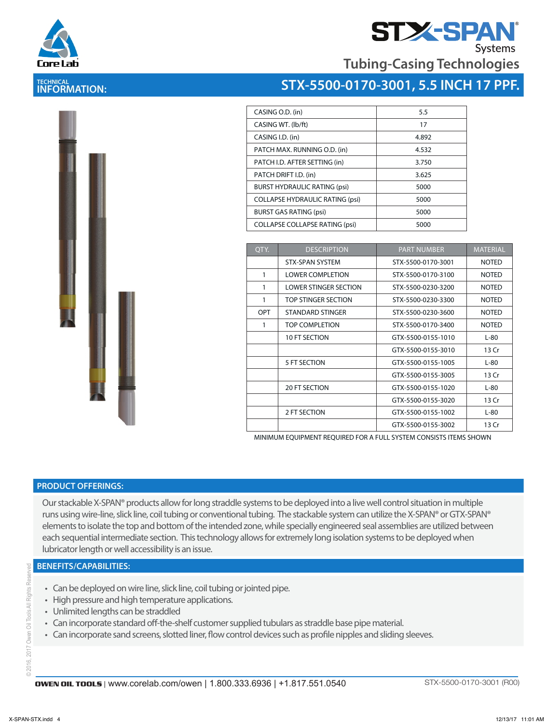

# **TECHNICAL INFORMATION:**



| CASING O.D. (in)                       | 5.5   |
|----------------------------------------|-------|
| CASING WT. (lb/ft)                     | 17    |
| CASING I.D. (in)                       | 4.892 |
| PATCH MAX. RUNNING O.D. (in)           | 4.532 |
| PATCH I.D. AFTER SETTING (in)          | 3.750 |
| PATCH DRIFT I.D. (in)                  | 3.625 |
| <b>BURST HYDRAULIC RATING (psi)</b>    | 5000  |
| <b>COLLAPSE HYDRAULIC RATING (psi)</b> | 5000  |
| <b>BURST GAS RATING (psi)</b>          | 5000  |
| <b>COLLAPSE COLLAPSE RATING (psi)</b>  | 5000  |
|                                        |       |

| OTY. | <b>DESCRIPTION</b>           | <b>PART NUMBER</b> | <b>MATERIAL</b> |
|------|------------------------------|--------------------|-----------------|
|      | <b>STX-SPAN SYSTEM</b>       | STX-5500-0170-3001 | <b>NOTED</b>    |
| 1    | <b>LOWER COMPLETION</b>      | STX-5500-0170-3100 | <b>NOTED</b>    |
| 1    | <b>LOWER STINGER SECTION</b> | STX-5500-0230-3200 | <b>NOTED</b>    |
| 1    | TOP STINGER SECTION          | STX-5500-0230-3300 | <b>NOTED</b>    |
| OPT  | STANDARD STINGER             | STX-5500-0230-3600 | <b>NOTED</b>    |
| 1    | <b>TOP COMPLETION</b>        | STX-5500-0170-3400 | <b>NOTED</b>    |
|      | 10 FT SECTION                | GTX-5500-0155-1010 | $L-80$          |
|      |                              | GTX-5500-0155-3010 | 13 Cr           |
|      | 5 FT SECTION                 | GTX-5500-0155-1005 | $L-80$          |
|      |                              | GTX-5500-0155-3005 | 13 Cr           |
|      | 20 FT SECTION                | GTX-5500-0155-1020 | $L-80$          |
|      |                              | GTX-5500-0155-3020 | 13 Cr           |
|      | 2 FT SECTION                 | GTX-5500-0155-1002 | $L-80$          |
|      |                              | GTX-5500-0155-3002 | 13 Cr           |

MINIMUM EQUIPMENT REQUIRED FOR A FULL SYSTEM CONSISTS ITEMS SHOWN

### **PRODUCT OFFERINGS:**

Our stackable X-SPAN® products allow for long straddle systems to be deployed into a live well control situation in multiple runs using wire-line, slick line, coil tubing or conventional tubing. The stackable system can utilize the X-SPAN® or GTX-SPAN® elements to isolate the top and bottom of the intended zone, while specially engineered seal assemblies are utilized between each sequential intermediate section. This technology allows for extremely long isolation systems to be deployed when lubricator length or well accessibility is an issue.

### **BENEFITS/CAPABILITIES:**

- Can be deployed on wire line, slick line, coil tubing or jointed pipe.
- High pressure and high temperature applications.
- Unlimited lengths can be straddled
- Can incorporate standard off-the-shelf customer supplied tubulars as straddle base pipe material.
- Can incorporate sand screens, slotted liner, flow control devices such as profile nipples and sliding sleeves.

i Resei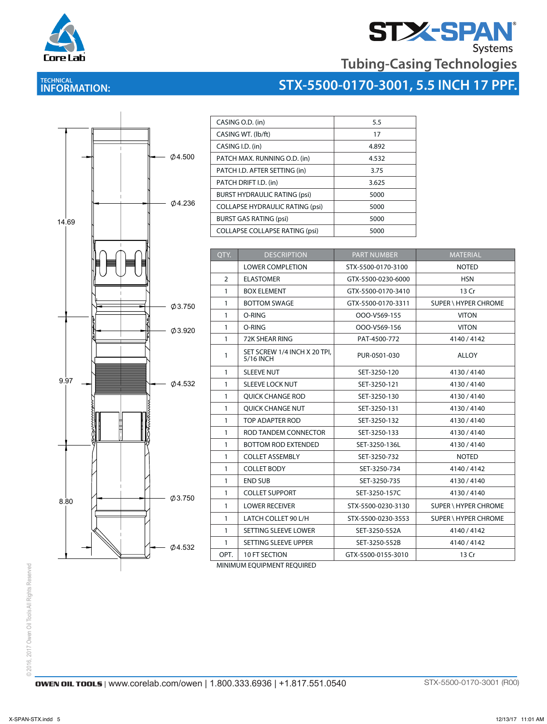

# **STX-SPAN**<br>Tubing-Casing Technologies

# **TECHNICAL INFORMATION:**

| STX-5500-0170-3001, 5.5 INCH 17 PPF. |  |
|--------------------------------------|--|
|                                      |  |



| CASING O.D. (in)                       | 5.5   |
|----------------------------------------|-------|
| CASING WT. (lb/ft)                     | 17    |
| CASING I.D. (in)                       | 4.892 |
| PATCH MAX. RUNNING O.D. (in)           | 4.532 |
| PATCH I.D. AFTER SETTING (in)          | 3.75  |
| PATCH DRIFT I.D. (in)                  | 3.625 |
| <b>BURST HYDRAULIC RATING (psi)</b>    | 5000  |
| <b>COLLAPSE HYDRAULIC RATING (psi)</b> | 5000  |
| <b>BURST GAS RATING (psi)</b>          | 5000  |
| <b>COLLAPSE COLLAPSE RATING (psi)</b>  | 5000  |

| QTY.           | <b>DESCRIPTION</b>                        | <b>PART NUMBER</b> | <b>MATERIAL</b>             |
|----------------|-------------------------------------------|--------------------|-----------------------------|
|                | <b>LOWER COMPLETION</b>                   | STX-5500-0170-3100 | <b>NOTED</b>                |
| $\overline{2}$ | <b>ELASTOMER</b>                          | GTX-5500-0230-6000 | <b>HSN</b>                  |
| $\mathbf{1}$   | <b>BOX ELEMENT</b>                        | GTX-5500-0170-3410 | 13 Cr                       |
| $\mathbf{1}$   | <b>BOTTOM SWAGE</b>                       | GTX-5500-0170-3311 | <b>SUPER \ HYPER CHROME</b> |
| $\mathbf{1}$   | O-RING                                    | OOO-V569-155       | <b>VITON</b>                |
| $\mathbf{1}$   | O-RING                                    | OOO-V569-156       | <b>VITON</b>                |
| $\mathbf{1}$   | 72K SHEAR RING                            | PAT-4500-772       | 4140/4142                   |
| $\mathbf{1}$   | SET SCREW 1/4 INCH X 20 TPI,<br>5/16 INCH | PUR-0501-030       | <b>ALLOY</b>                |
| $\mathbf{1}$   | <b>SLEEVE NUT</b>                         | SET-3250-120       | 4130/4140                   |
| $\mathbf{1}$   | <b>SLEEVE LOCK NUT</b>                    | SET-3250-121       | 4130/4140                   |
| $\mathbf{1}$   | <b>OUICK CHANGE ROD</b>                   | SET-3250-130       | 4130/4140                   |
| $\mathbf{1}$   | <b>OUICK CHANGE NUT</b>                   | SET-3250-131       | 4130/4140                   |
| $\mathbf{1}$   | TOP ADAPTER ROD                           | SET-3250-132       | 4130/4140                   |
| $\mathbf{1}$   | ROD TANDEM CONNECTOR                      | SET-3250-133       | 4130/4140                   |
| $\mathbf{1}$   | <b>BOTTOM ROD EXTENDED</b>                | SET-3250-136L      | 4130/4140                   |
| $\mathbf{1}$   | <b>COLLET ASSEMBLY</b>                    | SET-3250-732       | <b>NOTED</b>                |
| $\mathbf{1}$   | <b>COLLET BODY</b>                        | SET-3250-734       | 4140/4142                   |
| $\mathbf{1}$   | <b>END SUB</b>                            | SET-3250-735       | 4130/4140                   |
| $\mathbf{1}$   | <b>COLLET SUPPORT</b>                     | SET-3250-157C      | 4130/4140                   |
| $\mathbf{1}$   | <b>LOWER RECEIVER</b>                     | STX-5500-0230-3130 | <b>SUPER \ HYPER CHROME</b> |
| $\mathbf{1}$   | LATCH COLLET 90 L/H                       | STX-5500-0230-3553 | <b>SUPER \ HYPER CHROME</b> |
| $\mathbf{1}$   | SETTING SLEEVE LOWER                      | SET-3250-552A      | 4140/4142                   |
| $\mathbf{1}$   | SETTING SLEEVE UPPER                      | SET-3250-552B      | 4140/4142                   |
| OPT.           | 10 FT SECTION                             | GTX-5500-0155-3010 | 13 Cr                       |

MINIMUM EQUIPMENT REQUIRED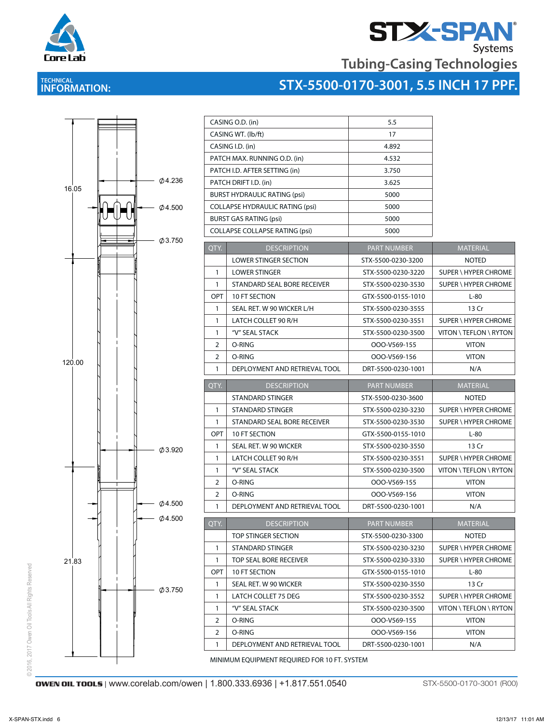

# **STX-SPAN**<br>Tubing-Casing Technologies

# **TECHNICAL INFORMATION:**



 $\mathcal{L}_\text{c}$  is the case of the case of the case of the case of the case of the case of the case of the case of the case of the case of the case of the case of the case of the case of the case of the case of the case of



|                    | CASING O.D. (in)                       | 5.5                |                             |
|--------------------|----------------------------------------|--------------------|-----------------------------|
| CASING WT. (lb/ft) |                                        | 17                 |                             |
| CASING I.D. (in)   |                                        | 4.892              |                             |
|                    | PATCH MAX. RUNNING O.D. (in)           | 4.532              |                             |
|                    | PATCH I.D. AFTER SETTING (in)          | 3.750              |                             |
|                    | PATCH DRIFT I.D. (in)                  | 3.625              |                             |
|                    | <b>BURST HYDRAULIC RATING (psi)</b>    | 5000               |                             |
|                    | <b>COLLAPSE HYDRAULIC RATING (psi)</b> | 5000               |                             |
|                    | <b>BURST GAS RATING (psi)</b>          | 5000               |                             |
|                    | <b>COLLAPSE COLLAPSE RATING (psi)</b>  | 5000               |                             |
| QTY.               | <b>DESCRIPTION</b>                     | <b>PART NUMBER</b> | MATERIAL                    |
|                    | <b>LOWER STINGER SECTION</b>           | STX-5500-0230-3200 | <b>NOTED</b>                |
| $\mathbf{1}$       | <b>LOWER STINGER</b>                   | STX-5500-0230-3220 | SUPER \ HYPER CHROME        |
| 1                  | STANDARD SEAL BORE RECEIVER            | STX-5500-0230-3530 | SUPER \ HYPER CHROME        |
| OPT                | <b>10 FT SECTION</b>                   | GTX-5500-0155-1010 | $L-80$                      |
| $\mathbf{1}$       | SEAL RET. W 90 WICKER L/H              | STX-5500-0230-3555 | 13 Cr                       |
| $\mathbf{1}$       | LATCH COLLET 90 R/H                    | STX-5500-0230-3551 | <b>SUPER \ HYPER CHROME</b> |
| $\mathbf{1}$       | "V" SEAL STACK                         | STX-5500-0230-3500 | VITON \ TEFLON \ RYTON      |
| $\overline{2}$     | O-RING                                 | OOO-V569-155       | <b>VITON</b>                |
| $\overline{2}$     | O-RING                                 | OOO-V569-156       | <b>VITON</b>                |
| 1                  | DEPLOYMENT AND RETRIEVAL TOOL          | DRT-5500-0230-1001 | N/A                         |
|                    |                                        |                    |                             |
| QTY.               | <b>DESCRIPTION</b>                     | <b>PART NUMBER</b> | <b>MATERIAL</b>             |
|                    | STANDARD STINGER                       | STX-5500-0230-3600 | <b>NOTED</b>                |
| $\mathbf{1}$       | STANDARD STINGER                       | STX-5500-0230-3230 | SUPER \ HYPER CHROME        |
| $\mathbf{1}$       | STANDARD SEAL BORE RECEIVER            | STX-5500-0230-3530 | SUPER \ HYPER CHROME        |
| OPT                | 10 FT SECTION                          | GTX-5500-0155-1010 | $L-80$                      |
| 1                  | SEAL RET. W 90 WICKER                  | STX-5500-0230-3550 | 13 Cr                       |
| $\mathbf{1}$       | LATCH COLLET 90 R/H                    | STX-5500-0230-3551 | SUPER \ HYPER CHROME        |
| $\mathbf{1}$       | "V" SEAL STACK                         | STX-5500-0230-3500 | VITON \ TEFLON \ RYTON      |
| 2                  | O-RING                                 | OOO-V569-155       | <b>VITON</b>                |
| 2                  | O-RING                                 | OOO-V569-156       | <b>VITON</b>                |
| $\mathbf{1}$       | DEPLOYMENT AND RETRIEVAL TOOL          | DRT-5500-0230-1001 | N/A                         |
| QTY.               | <b>DESCRIPTION</b>                     | <b>PART NUMBER</b> | <b>MATERIAL</b>             |
|                    | TOP STINGER SECTION                    | STX-5500-0230-3300 | <b>NOTED</b>                |
| $\mathbf{1}$       | STANDARD STINGER                       | STX-5500-0230-3230 | SUPER \ HYPER CHROME        |
| $\mathbf{1}$       | TOP SEAL BORE RECEIVER                 | STX-5500-0230-3330 | SUPER \ HYPER CHROME        |
| OPT                | 10 FT SECTION                          | GTX-5500-0155-1010 | $L-80$                      |
| 1                  | SEAL RET. W 90 WICKER                  | STX-5500-0230-3550 | 13 Cr                       |
| 1                  | LATCH COLLET 75 DEG                    | STX-5500-0230-3552 | SUPER \ HYPER CHROME        |
| $\mathbf{1}$       | "V" SEAL STACK                         | STX-5500-0230-3500 | VITON \ TEFLON \ RYTON      |
| 2                  | O-RING                                 | OOO-V569-155       | <b>VITON</b>                |
| 2                  | O-RING                                 | OOO-V569-156       | <b>VITON</b>                |
|                    |                                        |                    |                             |
| 1                  | DEPLOYMENT AND RETRIEVAL TOOL          | DRT-5500-0230-1001 | N/A                         |

**OWEN OIL TOOLS** | www.corelab.com/owen | 1.800.333.6936 | +1.817.551.0540 STX-5500-0170-3001 (R00)

© 2016, 2017 Owen Oil Tools All Rights Reserved

© 2016, 2017 Owen Oil Tools All Rights Reserved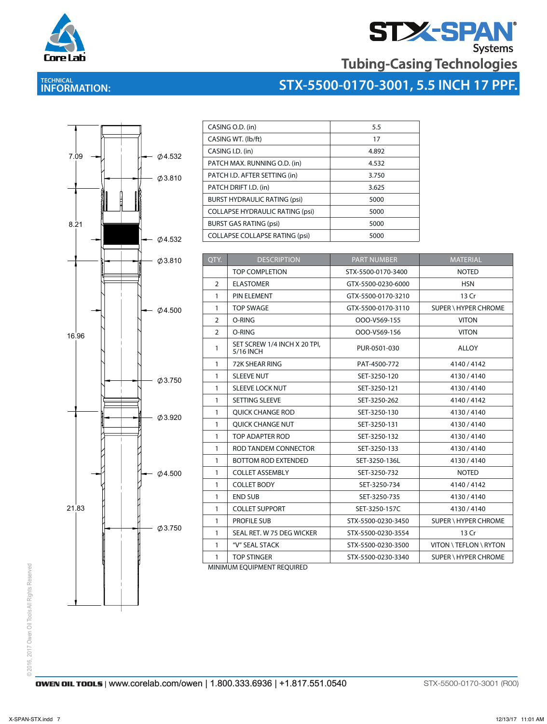

# **STAN**<br>Tubing-Casing Technologies

# **TECHNICAL INFORMATION:**





| CASING O.D. (in)                       | 5.5   |
|----------------------------------------|-------|
| CASING WT. (lb/ft)                     | 17    |
| CASING I.D. (in)                       | 4.892 |
| PATCH MAX. RUNNING O.D. (in)           | 4.532 |
| PATCH I.D. AFTER SETTING (in)          | 3.750 |
| PATCH DRIFT I.D. (in)                  | 3.625 |
| <b>BURST HYDRAULIC RATING (psi)</b>    | 5000  |
| <b>COLLAPSE HYDRAULIC RATING (psi)</b> | 5000  |
| <b>BURST GAS RATING (psi)</b>          | 5000  |
| <b>COLLAPSE COLLAPSE RATING (psi)</b>  | 5000  |

|                | CASING O.D. (in)                          | 5.5                |                             |
|----------------|-------------------------------------------|--------------------|-----------------------------|
|                | CASING WT. (lb/ft)                        | 17                 |                             |
|                | CASING I.D. (in)                          | 4.892              |                             |
|                | PATCH MAX. RUNNING O.D. (in)              | 4.532              |                             |
|                | PATCH I.D. AFTER SETTING (in)             | 3.750              |                             |
|                | PATCH DRIFT I.D. (in)                     | 3.625              |                             |
|                | <b>BURST HYDRAULIC RATING (psi)</b>       | 5000               |                             |
|                | <b>COLLAPSE HYDRAULIC RATING (psi)</b>    | 5000               |                             |
|                | <b>BURST GAS RATING (psi)</b>             | 5000               |                             |
|                | <b>COLLAPSE COLLAPSE RATING (psi)</b>     | 5000               |                             |
|                |                                           |                    |                             |
| QTY.           | <b>DESCRIPTION</b>                        | <b>PART NUMBER</b> | MATERIAL                    |
|                | <b>TOP COMPLETION</b>                     | STX-5500-0170-3400 | <b>NOTED</b>                |
| 2              | <b>ELASTOMER</b>                          | GTX-5500-0230-6000 | <b>HSN</b>                  |
| $\mathbf{1}$   | PIN ELEMENT                               | GTX-5500-0170-3210 | 13 Cr                       |
| $\mathbf{1}$   | <b>TOP SWAGE</b>                          | GTX-5500-0170-3110 | <b>SUPER \ HYPER CHROME</b> |
| $\overline{2}$ | O-RING                                    | OOO-V569-155       | <b>VITON</b>                |
| 2              | O-RING                                    | OOO-V569-156       | <b>VITON</b>                |
| 1              | SET SCREW 1/4 INCH X 20 TPI,<br>5/16 INCH | PUR-0501-030       | ALLOY                       |
| $\mathbf{1}$   | 72K SHEAR RING                            | PAT-4500-772       | 4140 / 4142                 |
| 1              | <b>SLEEVE NUT</b>                         | SET-3250-120       | 4130 / 4140                 |
| $\mathbf{1}$   | SLEEVE LOCK NUT                           | SET-3250-121       | 4130/4140                   |
| 1              | SETTING SLEEVE                            | SET-3250-262       | 4140 / 4142                 |
| 1              | QUICK CHANGE ROD                          | SET-3250-130       | 4130 / 4140                 |
| 1              | QUICK CHANGE NUT                          | SET-3250-131       | 4130/4140                   |
| $\mathbf{1}$   | TOP ADAPTER ROD                           | SET-3250-132       | 4130/4140                   |
| 1              | ROD TANDEM CONNECTOR                      | SET-3250-133       | 4130/4140                   |
| 1              | <b>BOTTOM ROD EXTENDED</b>                | SET-3250-136L      | 4130 / 4140                 |
| 1              | <b>COLLET ASSEMBLY</b>                    | SET-3250-732       | <b>NOTED</b>                |
| $\mathbf{1}$   | <b>COLLET BODY</b>                        | SET-3250-734       | 4140 / 4142                 |
| 1              | <b>END SUB</b>                            | SET-3250-735       | 4130 / 4140                 |
| 1              | <b>COLLET SUPPORT</b>                     | SET-3250-157C      | 4130 / 4140                 |
| 1              | <b>PROFILE SUB</b>                        | STX-5500-0230-3450 | SUPER \ HYPER CHROME        |
| $\mathbf{1}$   | SEAL RET. W 75 DEG WICKER                 | STX-5500-0230-3554 | 13 Cr                       |
| $\mathbf{1}$   | "V" SEAL STACK                            | STX-5500-0230-3500 | VITON \ TEFLON \ RYTON      |
|                | <b>TOP STINGER</b>                        | STX-5500-0230-3340 | SUPER \ HYPER CHROME        |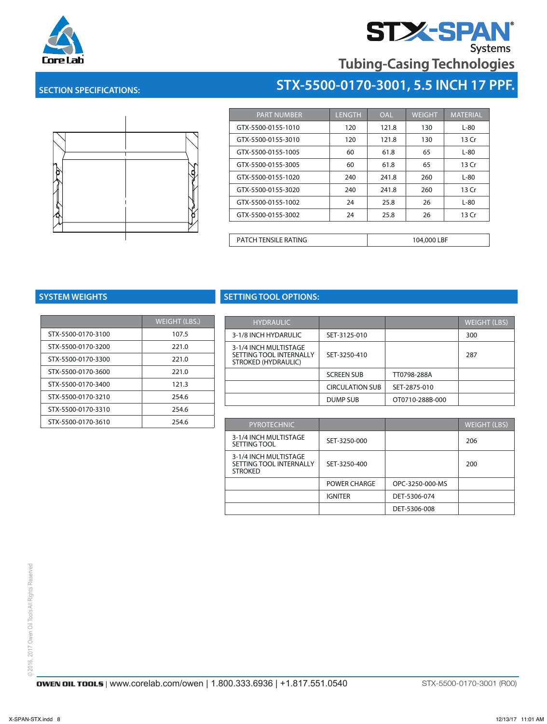



### **SECTION SPECIFICATIONS: STX-0000-0000-0000 STX-5500-0170-3001, 5.5 INCH 17 PPF.**



| <b>PART NUMBER</b>          | <b>LENGTH</b> | <b>OAL</b> | <b>WEIGHT</b> | <b>MATERIAL</b> |
|-----------------------------|---------------|------------|---------------|-----------------|
| GTX-5500-0155-1010          | 120           | 121.8      | 130           | $L-80$          |
| GTX-5500-0155-3010          | 120           | 121.8      | 130           | 13 Cr           |
| GTX-5500-0155-1005          | 60            | 61.8       | 65            | L-80            |
| GTX-5500-0155-3005          | 60            | 61.8       | 65            | 13 Cr           |
| GTX-5500-0155-1020          | 240           | 241.8      | 260           | $L-80$          |
| GTX-5500-0155-3020          | 240           | 241.8      | 260           | 13 Cr           |
| GTX-5500-0155-1002          | 24            | 25.8       | 26            | $L-80$          |
| GTX-5500-0155-3002          | 24            | 25.8       | 26            | 13 Cr           |
|                             |               |            |               |                 |
| <b>PATCH TENSILE RATING</b> |               |            | 104,000 LBF   |                 |

PATCH TENSILE RATING 104,000 LBF RATING 104,000 LBF RATING 104,000 LBF RATING 104,000 LBF RATING 104,000 LBF R

| <b>WEIGHT (LBS.)</b> |
|----------------------|
| 107.5                |
| 221.0                |
| 221.0                |
| 221.0                |
| 121.3                |
| 254.6                |
| 254.6                |
| 254.6                |
|                      |

## **SYSTEM WEIGHTS SETTING TOOL OPTIONS:**

| <b>WEIGHT (LBS.)</b> | <b>HYDRAULIC</b>                               |                        |                 | <b>WEIGHT (LBS)</b> |
|----------------------|------------------------------------------------|------------------------|-----------------|---------------------|
| 107.5                | 3-1/8 INCH HYDARULIC                           | SET-3125-010           |                 | 300                 |
| 221.0                | 3-1/4 INCH MULTISTAGE                          |                        |                 |                     |
| 221.0                | SETTING TOOL INTERNALLY<br>STROKED (HYDRAULIC) | SET-3250-410           |                 | 287                 |
| 221.0                |                                                | <b>SCREEN SUB</b>      | TT0798-288A     |                     |
| 121.3                |                                                | <b>CIRCULATION SUB</b> | SET-2875-010    |                     |
| 254.6                |                                                | DUMP SUB               | OT0710-288B-000 |                     |
| 254.6                |                                                |                        |                 |                     |

| 254.6 | <b>PYROTECHNIC</b>                                                 |                     |                 | <b>WEIGHT (LBS)</b> |
|-------|--------------------------------------------------------------------|---------------------|-----------------|---------------------|
|       | 3-1/4 INCH MULTISTAGE<br>SETTING TOOL                              | SET-3250-000        |                 | 206                 |
|       | 3-1/4 INCH MULTISTAGE<br>SETTING TOOL INTERNALLY<br><b>STROKED</b> | SET-3250-400        |                 | 200                 |
|       |                                                                    | <b>POWER CHARGE</b> | OPC-3250-000-MS |                     |
|       |                                                                    | <b>IGNITER</b>      | DET-5306-074    |                     |
|       |                                                                    |                     | DET-5306-008    |                     |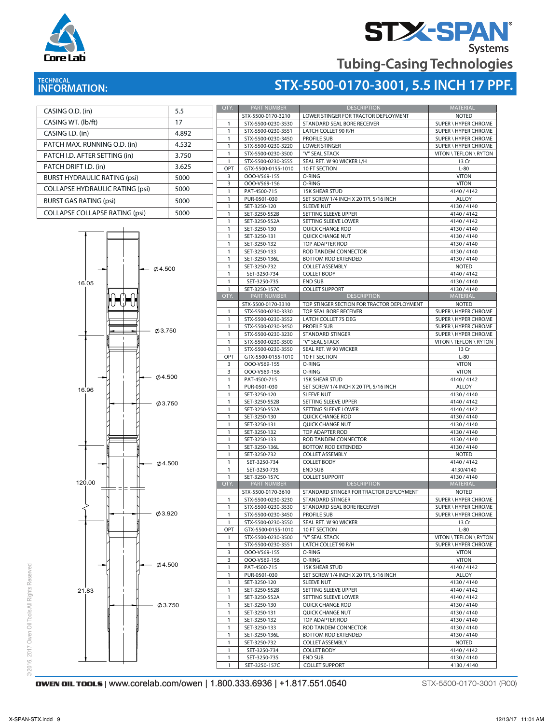

# **STX-SPAN®** Systems

**Tubing-Casing Technologies**

# **INFORMATION:**

CASING O.D. (in) 5.5

## **ITECHNICAL AND TECHNICAL STRIP OF TECHNICAL STRIP OF TECHNICAL AND TECHNICAL AND TECHNICAL STRIP OF TECHNICAL STRIP OF TECHNICAL AND THE STRIP OF TECHNICAL STRIP OF TECHNICAL AND TECHNICAL AND TECHNICAL STRIP OF TECHNICAL**



| QTY.         | <b>PART NUMBER</b> | <b>DESCRIPTION</b>                         | <b>MATERIAL</b>             |
|--------------|--------------------|--------------------------------------------|-----------------------------|
|              | STX-5500-0170-3210 | LOWER STINGER FOR TRACTOR DEPLOYMENT       | <b>NOTED</b>                |
| $\mathbf{1}$ | STX-5500-0230-3530 | STANDARD SEAL BORE RECEIVER                | <b>SUPER \ HYPER CHROME</b> |
| $\mathbf{1}$ | STX-5500-0230-3551 | LATCH COLLET 90 R/H                        | SUPER \ HYPER CHROME        |
| $\mathbf{1}$ | STX-5500-0230-3450 | <b>PROFILE SUB</b>                         | SUPER \ HYPER CHROME        |
| 1            | STX-5500-0230-3220 | <b>LOWER STINGER</b>                       | SUPER \ HYPER CHROME        |
| $\mathbf{1}$ | STX-5500-0230-3500 | "V" SEAL STACK                             | VITON \ TEFLON \ RYTON      |
| $\mathbf{1}$ | STX-5500-0230-3555 | SEAL RET. W 90 WICKER L/H                  | 13 Cr                       |
| OPT          | GTX-5500-0155-1010 | 10 FT SECTION                              | $L-80$                      |
| 3            | OOO-V569-155       | O-RING                                     | <b>VITON</b>                |
| 3            | OOO-V569-156       | O-RING                                     | <b>VITON</b>                |
| 1            | PAT-4500-715       | <b>15K SHEAR STUD</b>                      | 4140 / 4142                 |
|              |                    | SET SCREW 1/4 INCH X 20 TPI, 5/16 INCH     |                             |
| $\mathbf{1}$ | PUR-0501-030       |                                            | ALLOY                       |
| 1            | SET-3250-120       | <b>SLEEVE NUT</b>                          | 4130/4140                   |
| 1            | SET-3250-552B      | SETTING SLEEVE UPPER                       | 4140 / 4142                 |
| 1            | SET-3250-552A      | SETTING SLEEVE LOWER                       | 4140 / 4142                 |
| $\mathbf{1}$ | SET-3250-130       | <b>QUICK CHANGE ROD</b>                    | 4130/4140                   |
| 1            | SET-3250-131       | QUICK CHANGE NUT                           | 4130 / 4140                 |
| 1            | SET-3250-132       | TOP ADAPTER ROD                            | 4130/4140                   |
| 1            | SET-3250-133       | ROD TANDEM CONNECTOR                       | 4130/4140                   |
| 1            | SET-3250-136L      | <b>BOTTOM ROD EXTENDED</b>                 | 4130/4140                   |
| $\mathbf{1}$ | SET-3250-732       | <b>COLLET ASSEMBLY</b>                     | <b>NOTED</b>                |
| $\mathbf{1}$ | SET-3250-734       | <b>COLLET BODY</b>                         | 4140 / 4142                 |
| $\mathbf{1}$ | SET-3250-735       | END SUB                                    | 4130/4140                   |
| $\mathbf{1}$ | SET-3250-157C      | <b>COLLET SUPPORT</b>                      | 4130/4140                   |
| QTY.         | PART NUMBER        | <b>DESCRIPTION</b>                         | <b>MATERIAL</b>             |
|              |                    |                                            |                             |
|              | STX-5500-0170-3310 | TOP STINGER SECTION FOR TRACTOR DEPLOYMENT | <b>NOTED</b>                |
| $\mathbf{1}$ | STX-5500-0230-3330 | TOP SEAL BORE RECEIVER                     | <b>SUPER \ HYPER CHROME</b> |
| $\mathbf{1}$ | STX-5500-0230-3552 | LATCH COLLET 75 DEG                        | SUPER \ HYPER CHROME        |
| $\mathbf{1}$ | STX-5500-0230-3450 | <b>PROFILE SUB</b>                         | SUPER \ HYPER CHROME        |
| 1            | STX-5500-0230-3230 | <b>STANDARD STINGER</b>                    | SUPER \ HYPER CHROME        |
| $\mathbf{1}$ | STX-5500-0230-3500 | "V" SEAL STACK                             | VITON \ TEFLON \ RYTON      |
| $\mathbf{1}$ | STX-5500-0230-3550 | SEAL RET. W 90 WICKER                      | 13 Cr                       |
| OPT          | GTX-5500-0155-1010 | 10 FT SECTION                              | $L-80$                      |
| 3            | OOO-V569-155       | O-RING                                     | <b>VITON</b>                |
| 3            | OOO-V569-156       | O-RING                                     | <b>VITON</b>                |
| $\mathbf{1}$ | PAT-4500-715       | <b>15K SHEAR STUD</b>                      | 4140/4142                   |
| $\mathbf{1}$ | PUR-0501-030       | SET SCREW 1/4 INCH X 20 TPI, 5/16 INCH     | <b>ALLOY</b>                |
| $\mathbf{1}$ | SET-3250-120       | <b>SLEEVE NUT</b>                          | 4130/4140                   |
| $\mathbf{1}$ | SET-3250-552B      | SETTING SLEEVE UPPER                       | 4140 / 4142                 |
| 1            | SET-3250-552A      | SETTING SLEEVE LOWER                       | 4140 / 4142                 |
|              |                    |                                            |                             |
| $\mathbf{1}$ | SET-3250-130       | <b>QUICK CHANGE ROD</b>                    | 4130/4140                   |
| 1            | SET-3250-131       | <b>QUICK CHANGE NUT</b>                    | 4130/4140                   |
| $\mathbf{1}$ | SET-3250-132       | TOP ADAPTER ROD                            | 4130/4140                   |
| $\mathbf{1}$ | SET-3250-133       | ROD TANDEM CONNECTOR                       | 4130 / 4140                 |
| 1            | SET-3250-136L      | <b>BOTTOM ROD EXTENDED</b>                 | 4130/4140                   |
| $\mathbf{1}$ | SET-3250-732       | <b>COLLET ASSEMBLY</b>                     | <b>NOTED</b>                |
| 1            | SET-3250-734       | <b>COLLET BODY</b>                         | 4140 / 4142                 |
| $\mathbf{1}$ | SET-3250-735       | <b>END SUB</b>                             | 4130/4140                   |
| $\mathbf{1}$ | SET-3250-157C      | <b>COLLET SUPPORT</b>                      | 4130/4140                   |
| QTY.         | <b>PART NUMBER</b> | <b>DESCRIPTION</b>                         | MATERIAL                    |
|              | STX-5500-0170-3610 | STANDARD STINGER FOR TRACTOR DEPLOYMENT    | <b>NOTED</b>                |
| 1            | STX-5500-0230-3230 | STANDARD STINGER                           | SUPER \ HYPER CHROME        |
| 1            | STX-5500-0230-3530 | STANDARD SEAL BORE RECEIVER                | SUPER \ HYPER CHROME        |
| $\mathbf{1}$ | STX-5500-0230-3450 | PROFILE SUB                                | SUPER \ HYPER CHROME        |
| 1            | STX-5500-0230-3550 | SEAL RET. W 90 WICKER                      | 13 Cr                       |
| OPT          | GTX-5500-0155-1010 | 10 FT SECTION                              | $L-80$                      |
|              |                    |                                            |                             |
| 1            | STX-5500-0230-3500 | "V" SEAL STACK                             | VITON \ TEFLON \ RYTON      |
| $\mathbf{1}$ | STX-5500-0230-3551 | LATCH COLLET 90 R/H                        | SUPER \ HYPER CHROME        |
| 3            | OOO-V569-155       | O-RING                                     | <b>VITON</b>                |
|              |                    | O-RING                                     |                             |
| 3            | OOO-V569-156       |                                            | <b>VITON</b>                |
| $\mathbf{1}$ | PAT-4500-715       | <b>15K SHEAR STUD</b>                      | 4140 / 4142                 |
| 1            | PUR-0501-030       | SET SCREW 1/4 INCH X 20 TPI, 5/16 INCH     | ALLOY                       |
| $\mathbf{1}$ | SET-3250-120       | SLEEVE NUT                                 | 4130/4140                   |
| $\mathbf{1}$ | SET-3250-552B      | SETTING SLEEVE UPPER                       | 4140 / 4142                 |
| 1            |                    | SETTING SLEEVE LOWER                       |                             |
|              | SET-3250-552A      |                                            | 4140 / 4142                 |
| $\mathbf{1}$ | SET-3250-130       | <b>QUICK CHANGE ROD</b>                    | 4130/4140                   |
| $\mathbf{1}$ | SET-3250-131       | QUICK CHANGE NUT                           | 4130/4140                   |
| $\mathbf{1}$ | SET-3250-132       | TOP ADAPTER ROD                            | 4130/4140                   |
| $\mathbf{1}$ | SET-3250-133       | ROD TANDEM CONNECTOR                       | 4130/4140                   |
| 1            | SET-3250-136L      | BOTTOM ROD EXTENDED                        | 4130/4140                   |
| $\mathbf{1}$ | SET-3250-732       | <b>COLLET ASSEMBLY</b>                     | <b>NOTED</b>                |
| $\mathbf{1}$ | SET-3250-734       | <b>COLLET BODY</b>                         | 4140 / 4142                 |
| $\mathbf{1}$ | SET-3250-735       | <b>END SUB</b>                             | 4130/4140                   |
| 1            | SET-3250-157C      | <b>COLLET SUPPORT</b>                      | 4130/4140                   |

## **OWEN OIL TOOLS** | WWW.corelab.com/owen | 1.800.333.6936 | +1.817.551.0540 STX-5500-0170-3001 (R00)